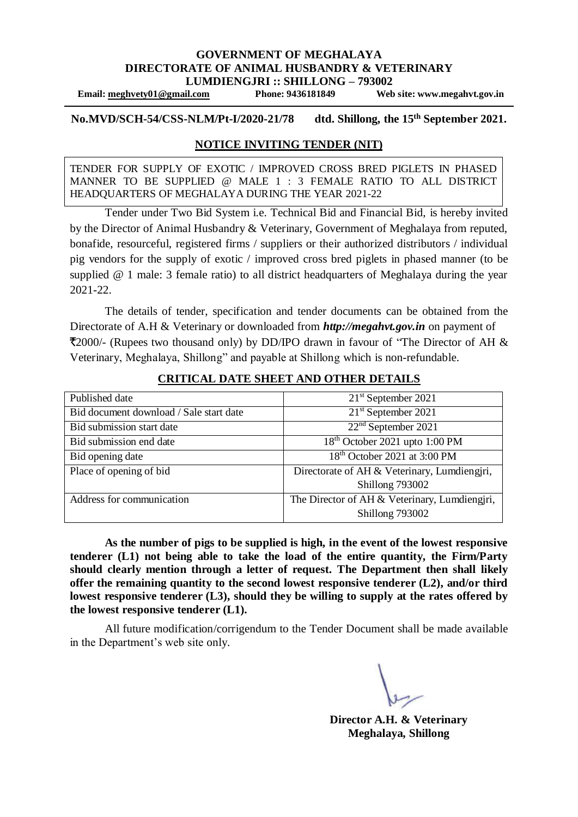#### **GOVERNMENT OF MEGHALAYA DIRECTORATE OF ANIMAL HUSBANDRY & VETERINARY LUMDIENGJRI :: SHILLONG – 793002**

**Email: [meghvety01@gmail.com](mailto:meghvety01@gmail.com) Phone: 9436181849 Web site: www.megahvt.gov.in**

**No.MVD/SCH-54/CSS-NLM/Pt-I/2020-21/78 dtd. Shillong, the 15th September 2021.**

#### **NOTICE INVITING TENDER (NIT)**

TENDER FOR SUPPLY OF EXOTIC / IMPROVED CROSS BRED PIGLETS IN PHASED MANNER TO BE SUPPLIED @ MALE 1 : 3 FEMALE RATIO TO ALL DISTRICT HEADQUARTERS OF MEGHALAYA DURING THE YEAR 2021-22

Tender under Two Bid System i.e. Technical Bid and Financial Bid, is hereby invited by the Director of Animal Husbandry & Veterinary, Government of Meghalaya from reputed, bonafide, resourceful, registered firms / suppliers or their authorized distributors / individual pig vendors for the supply of exotic / improved cross bred piglets in phased manner (to be supplied @ 1 male: 3 female ratio) to all district headquarters of Meghalaya during the year 2021-22.

The details of tender, specification and tender documents can be obtained from the Directorate of A.H & Veterinary or downloaded from *http://megahvt.gov.in* on payment of ₹2000/- (Rupees two thousand only) by DD/IPO drawn in favour of "The Director of AH & Veterinary, Meghalaya, Shillong" and payable at Shillong which is non-refundable.

| Published date                          | $21st$ September 2021                         |
|-----------------------------------------|-----------------------------------------------|
| Bid document download / Sale start date | 21 <sup>st</sup> September 2021               |
| Bid submission start date               | $22nd$ September 2021                         |
| Bid submission end date                 | 18 <sup>th</sup> October 2021 upto 1:00 PM    |
| Bid opening date                        | 18 <sup>th</sup> October 2021 at 3:00 PM      |
| Place of opening of bid                 | Directorate of AH & Veterinary, Lumdiengjri,  |
|                                         | Shillong 793002                               |
| Address for communication               | The Director of AH & Veterinary, Lumdiengjri, |
|                                         | Shillong 793002                               |

#### **CRITICAL DATE SHEET AND OTHER DETAILS**

**As the number of pigs to be supplied is high, in the event of the lowest responsive tenderer (L1) not being able to take the load of the entire quantity, the Firm/Party should clearly mention through a letter of request. The Department then shall likely offer the remaining quantity to the second lowest responsive tenderer (L2), and/or third lowest responsive tenderer (L3), should they be willing to supply at the rates offered by the lowest responsive tenderer (L1).** 

All future modification/corrigendum to the Tender Document shall be made available in the Department's web site only.

**Director A.H. & Veterinary Meghalaya, Shillong**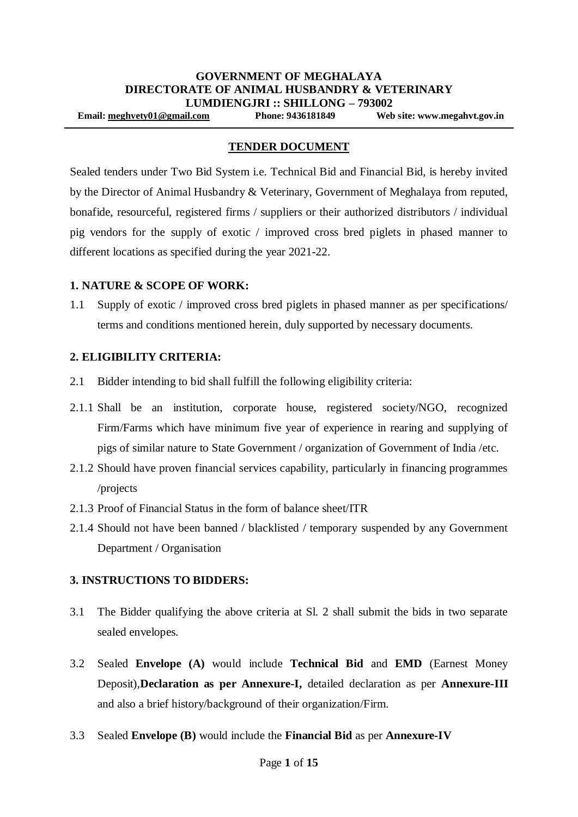#### **TENDER DOCUMENT**

Sealed tenders under Two Bid System i.e. Technical Bid and Financial Bid, is hereby invited by the Director of Animal Husbandry & Veterinary, Government of Meghalaya from reputed, bonafide, resourceful, registered firms / suppliers or their authorized distributors / individual pig vendors for the supply of exotic / improved cross bred piglets in phased manner to different locations as specified during the year 2021-22.

#### **1. NATURE & SCOPE OF WORK:**

1.1 Supply of exotic / improved cross bred piglets in phased manner as per specifications/ terms and conditions mentioned herein, duly supported by necessary documents.

#### **2. ELIGIBILITY CRITERIA:**

- 2.1 Bidder intending to bid shall fulfill the following eligibility criteria:
- 2.1.1 Shall be an institution, corporate house, registered society/NGO, recognized Firm/Farms which have minimum five year of experience in rearing and supplying of pigs of similar nature to State Government / organization of Government of India /etc.
- 2.1.2 Should have proven financial services capability, particularly in financing programmes /projects
- 2.1.3 Proof of Financial Status in the form of balance sheet/ITR
- 2.1.4 Should not have been banned / blacklisted / temporary suspended by any Government Department / Organisation

#### **3. INSTRUCTIONS TO BIDDERS:**

- 3.1 The Bidder qualifying the above criteria at Sl. 2 shall submit the bids in two separate sealed envelopes.
- 3.2 Sealed **Envelope (A)** would include **Technical Bid** and **EMD** (Earnest Money Deposit),**Declaration as per Annexure-I,** detailed declaration as per **Annexure-III** and also a brief history/background of their organization/Firm.
- 3.3 Sealed **Envelope (B)** would include the **Financial Bid** as per **Annexure-IV**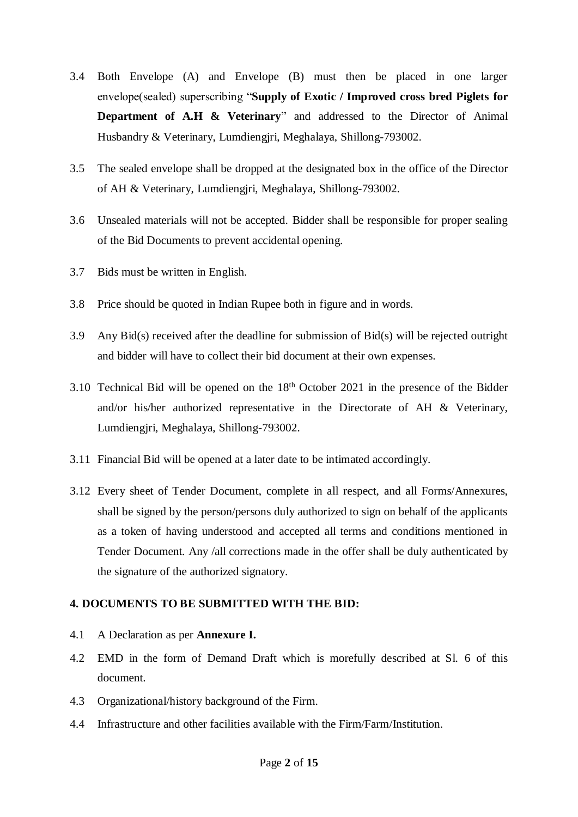- 3.4 Both Envelope (A) and Envelope (B) must then be placed in one larger envelope(sealed) superscribing "**Supply of Exotic / Improved cross bred Piglets for Department of A.H & Veterinary**" and addressed to the Director of Animal Husbandry & Veterinary, Lumdiengjri, Meghalaya, Shillong-793002.
- 3.5 The sealed envelope shall be dropped at the designated box in the office of the Director of AH & Veterinary, Lumdiengjri, Meghalaya, Shillong-793002.
- 3.6 Unsealed materials will not be accepted. Bidder shall be responsible for proper sealing of the Bid Documents to prevent accidental opening.
- 3.7 Bids must be written in English.
- 3.8 Price should be quoted in Indian Rupee both in figure and in words.
- 3.9 Any Bid(s) received after the deadline for submission of Bid(s) will be rejected outright and bidder will have to collect their bid document at their own expenses.
- 3.10 Technical Bid will be opened on the 18th October 2021 in the presence of the Bidder and/or his/her authorized representative in the Directorate of AH & Veterinary, Lumdiengjri, Meghalaya, Shillong-793002.
- 3.11 Financial Bid will be opened at a later date to be intimated accordingly.
- 3.12 Every sheet of Tender Document, complete in all respect, and all Forms/Annexures, shall be signed by the person/persons duly authorized to sign on behalf of the applicants as a token of having understood and accepted all terms and conditions mentioned in Tender Document. Any /all corrections made in the offer shall be duly authenticated by the signature of the authorized signatory.

### **4. DOCUMENTS TO BE SUBMITTED WITH THE BID:**

- 4.1 A Declaration as per **Annexure I.**
- 4.2 EMD in the form of Demand Draft which is morefully described at Sl. 6 of this document.
- 4.3 Organizational/history background of the Firm.
- 4.4 Infrastructure and other facilities available with the Firm/Farm/Institution.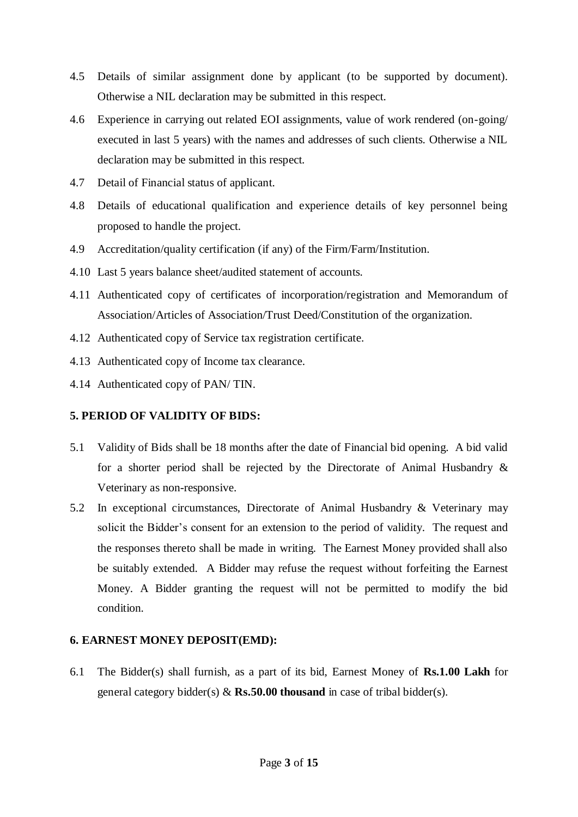- 4.5 Details of similar assignment done by applicant (to be supported by document). Otherwise a NIL declaration may be submitted in this respect.
- 4.6 Experience in carrying out related EOI assignments, value of work rendered (on-going/ executed in last 5 years) with the names and addresses of such clients. Otherwise a NIL declaration may be submitted in this respect.
- 4.7 Detail of Financial status of applicant.
- 4.8 Details of educational qualification and experience details of key personnel being proposed to handle the project.
- 4.9 Accreditation/quality certification (if any) of the Firm/Farm/Institution.
- 4.10 Last 5 years balance sheet/audited statement of accounts.
- 4.11 Authenticated copy of certificates of incorporation/registration and Memorandum of Association/Articles of Association/Trust Deed/Constitution of the organization.
- 4.12 Authenticated copy of Service tax registration certificate.
- 4.13 Authenticated copy of Income tax clearance.
- 4.14 Authenticated copy of PAN/ TIN.

## **5. PERIOD OF VALIDITY OF BIDS:**

- 5.1 Validity of Bids shall be 18 months after the date of Financial bid opening. A bid valid for a shorter period shall be rejected by the Directorate of Animal Husbandry  $\&$ Veterinary as non-responsive.
- 5.2 In exceptional circumstances, Directorate of Animal Husbandry & Veterinary may solicit the Bidder's consent for an extension to the period of validity. The request and the responses thereto shall be made in writing. The Earnest Money provided shall also be suitably extended. A Bidder may refuse the request without forfeiting the Earnest Money. A Bidder granting the request will not be permitted to modify the bid condition.

### **6. EARNEST MONEY DEPOSIT(EMD):**

6.1 The Bidder(s) shall furnish, as a part of its bid, Earnest Money of **Rs.1.00 Lakh** for general category bidder(s) & **Rs.50.00 thousand** in case of tribal bidder(s).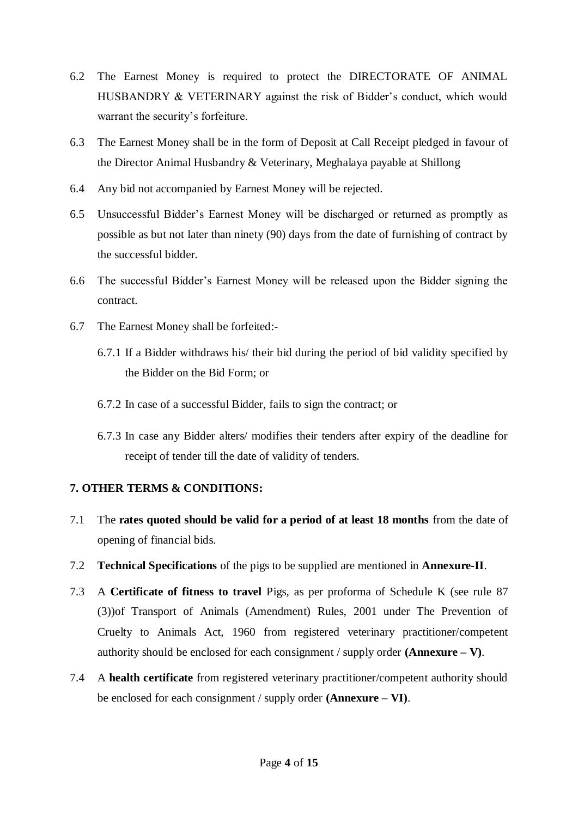- 6.2 The Earnest Money is required to protect the DIRECTORATE OF ANIMAL HUSBANDRY & VETERINARY against the risk of Bidder's conduct, which would warrant the security's forfeiture.
- 6.3 The Earnest Money shall be in the form of Deposit at Call Receipt pledged in favour of the Director Animal Husbandry & Veterinary, Meghalaya payable at Shillong
- 6.4 Any bid not accompanied by Earnest Money will be rejected.
- 6.5 Unsuccessful Bidder's Earnest Money will be discharged or returned as promptly as possible as but not later than ninety (90) days from the date of furnishing of contract by the successful bidder.
- 6.6 The successful Bidder's Earnest Money will be released upon the Bidder signing the contract.
- 6.7 The Earnest Money shall be forfeited:-
	- 6.7.1 If a Bidder withdraws his/ their bid during the period of bid validity specified by the Bidder on the Bid Form; or
	- 6.7.2 In case of a successful Bidder, fails to sign the contract; or
	- 6.7.3 In case any Bidder alters/ modifies their tenders after expiry of the deadline for receipt of tender till the date of validity of tenders.

### **7. OTHER TERMS & CONDITIONS:**

- 7.1 The **rates quoted should be valid for a period of at least 18 months** from the date of opening of financial bids.
- 7.2 **Technical Specifications** of the pigs to be supplied are mentioned in **Annexure-II**.
- 7.3 A **Certificate of fitness to travel** Pigs, as per proforma of Schedule K (see rule 87 (3))of Transport of Animals (Amendment) Rules, 2001 under The Prevention of Cruelty to Animals Act, 1960 from registered veterinary practitioner/competent authority should be enclosed for each consignment / supply order **(Annexure – V)**.
- 7.4 A **health certificate** from registered veterinary practitioner/competent authority should be enclosed for each consignment / supply order **(Annexure – VI)**.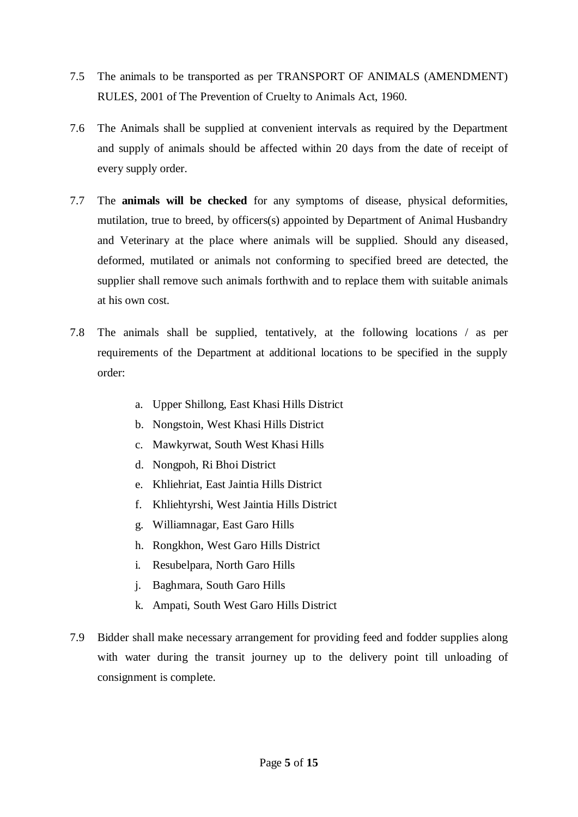- 7.5 The animals to be transported as per TRANSPORT OF ANIMALS (AMENDMENT) RULES, 2001 of The Prevention of Cruelty to Animals Act, 1960.
- 7.6 The Animals shall be supplied at convenient intervals as required by the Department and supply of animals should be affected within 20 days from the date of receipt of every supply order.
- 7.7 The **animals will be checked** for any symptoms of disease, physical deformities, mutilation, true to breed, by officers(s) appointed by Department of Animal Husbandry and Veterinary at the place where animals will be supplied. Should any diseased, deformed, mutilated or animals not conforming to specified breed are detected, the supplier shall remove such animals forthwith and to replace them with suitable animals at his own cost.
- 7.8 The animals shall be supplied, tentatively, at the following locations / as per requirements of the Department at additional locations to be specified in the supply order:
	- a. Upper Shillong, East Khasi Hills District
	- b. Nongstoin, West Khasi Hills District
	- c. Mawkyrwat, South West Khasi Hills
	- d. Nongpoh, Ri Bhoi District
	- e. Khliehriat, East Jaintia Hills District
	- f. Khliehtyrshi, West Jaintia Hills District
	- g. Williamnagar, East Garo Hills
	- h. Rongkhon, West Garo Hills District
	- i. Resubelpara, North Garo Hills
	- j. Baghmara, South Garo Hills
	- k. Ampati, South West Garo Hills District
- 7.9 Bidder shall make necessary arrangement for providing feed and fodder supplies along with water during the transit journey up to the delivery point till unloading of consignment is complete.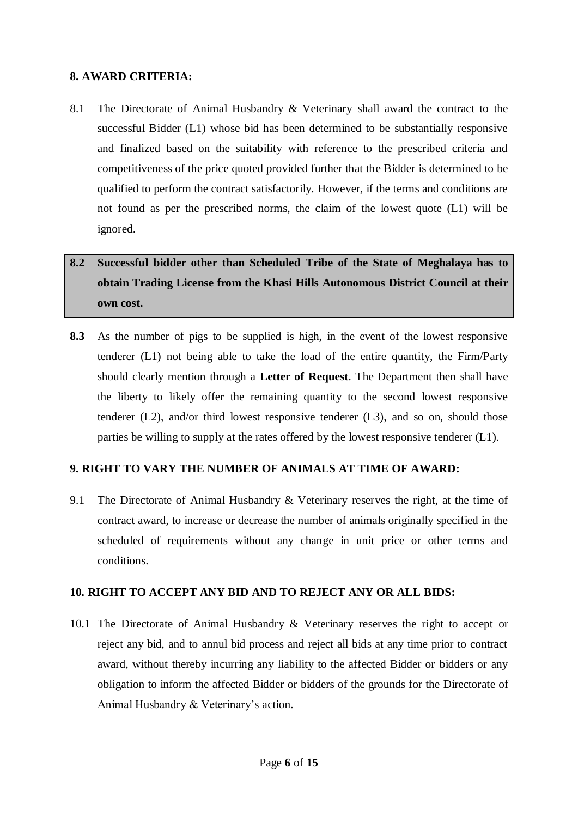#### **8. AWARD CRITERIA:**

8.1 The Directorate of Animal Husbandry & Veterinary shall award the contract to the successful Bidder (L1) whose bid has been determined to be substantially responsive and finalized based on the suitability with reference to the prescribed criteria and competitiveness of the price quoted provided further that the Bidder is determined to be qualified to perform the contract satisfactorily. However, if the terms and conditions are not found as per the prescribed norms, the claim of the lowest quote (L1) will be ignored.

# **8.2 Successful bidder other than Scheduled Tribe of the State of Meghalaya has to obtain Trading License from the Khasi Hills Autonomous District Council at their own cost.**

**8.3** As the number of pigs to be supplied is high, in the event of the lowest responsive tenderer (L1) not being able to take the load of the entire quantity, the Firm/Party should clearly mention through a **Letter of Request**. The Department then shall have the liberty to likely offer the remaining quantity to the second lowest responsive tenderer (L2), and/or third lowest responsive tenderer (L3), and so on, should those parties be willing to supply at the rates offered by the lowest responsive tenderer (L1).

## **9. RIGHT TO VARY THE NUMBER OF ANIMALS AT TIME OF AWARD:**

9.1 The Directorate of Animal Husbandry & Veterinary reserves the right, at the time of contract award, to increase or decrease the number of animals originally specified in the scheduled of requirements without any change in unit price or other terms and conditions.

### **10. RIGHT TO ACCEPT ANY BID AND TO REJECT ANY OR ALL BIDS:**

10.1 The Directorate of Animal Husbandry & Veterinary reserves the right to accept or reject any bid, and to annul bid process and reject all bids at any time prior to contract award, without thereby incurring any liability to the affected Bidder or bidders or any obligation to inform the affected Bidder or bidders of the grounds for the Directorate of Animal Husbandry & Veterinary's action.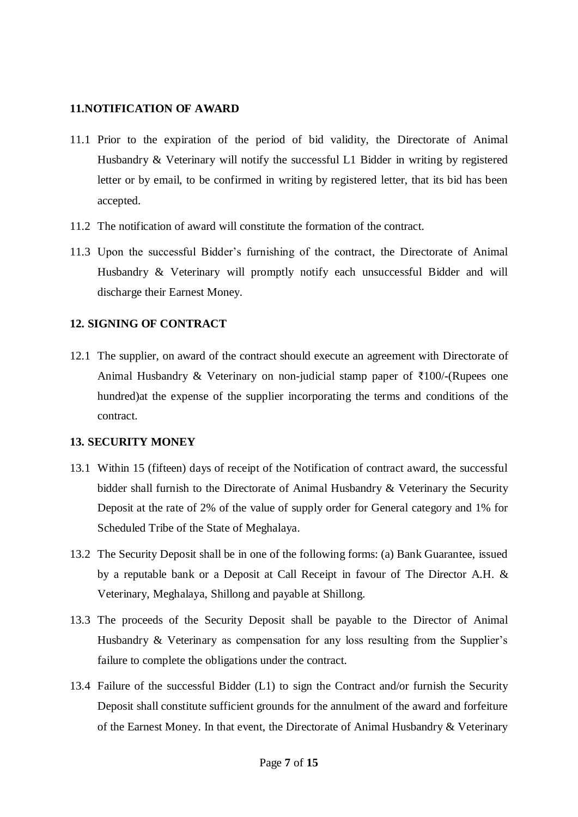#### **11.NOTIFICATION OF AWARD**

- 11.1 Prior to the expiration of the period of bid validity, the Directorate of Animal Husbandry & Veterinary will notify the successful L1 Bidder in writing by registered letter or by email, to be confirmed in writing by registered letter, that its bid has been accepted.
- 11.2 The notification of award will constitute the formation of the contract.
- 11.3 Upon the successful Bidder's furnishing of the contract, the Directorate of Animal Husbandry & Veterinary will promptly notify each unsuccessful Bidder and will discharge their Earnest Money.

### **12. SIGNING OF CONTRACT**

12.1 The supplier, on award of the contract should execute an agreement with Directorate of Animal Husbandry & Veterinary on non-judicial stamp paper of  $\overline{\xi}100$ /-(Rupees one hundred)at the expense of the supplier incorporating the terms and conditions of the contract.

#### **13. SECURITY MONEY**

- 13.1 Within 15 (fifteen) days of receipt of the Notification of contract award, the successful bidder shall furnish to the Directorate of Animal Husbandry & Veterinary the Security Deposit at the rate of 2% of the value of supply order for General category and 1% for Scheduled Tribe of the State of Meghalaya.
- 13.2 The Security Deposit shall be in one of the following forms: (a) Bank Guarantee, issued by a reputable bank or a Deposit at Call Receipt in favour of The Director A.H. & Veterinary, Meghalaya, Shillong and payable at Shillong.
- 13.3 The proceeds of the Security Deposit shall be payable to the Director of Animal Husbandry & Veterinary as compensation for any loss resulting from the Supplier's failure to complete the obligations under the contract.
- 13.4 Failure of the successful Bidder (L1) to sign the Contract and/or furnish the Security Deposit shall constitute sufficient grounds for the annulment of the award and forfeiture of the Earnest Money. In that event, the Directorate of Animal Husbandry & Veterinary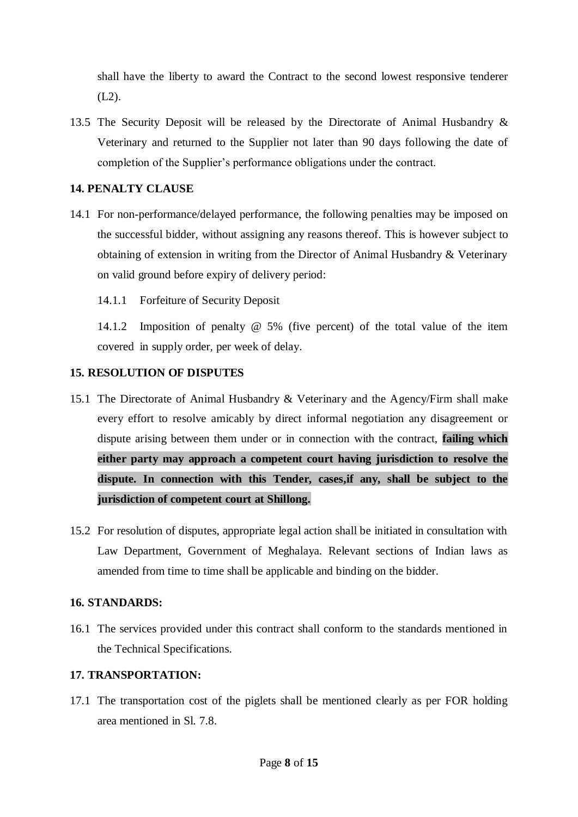shall have the liberty to award the Contract to the second lowest responsive tenderer (L2).

13.5 The Security Deposit will be released by the Directorate of Animal Husbandry & Veterinary and returned to the Supplier not later than 90 days following the date of completion of the Supplier's performance obligations under the contract.

### **14. PENALTY CLAUSE**

- 14.1 For non-performance/delayed performance, the following penalties may be imposed on the successful bidder, without assigning any reasons thereof. This is however subject to obtaining of extension in writing from the Director of Animal Husbandry & Veterinary on valid ground before expiry of delivery period:
	- 14.1.1 Forfeiture of Security Deposit

14.1.2 Imposition of penalty @ 5% (five percent) of the total value of the item covered in supply order, per week of delay.

## **15. RESOLUTION OF DISPUTES**

- 15.1 The Directorate of Animal Husbandry & Veterinary and the Agency/Firm shall make every effort to resolve amicably by direct informal negotiation any disagreement or dispute arising between them under or in connection with the contract, **failing which either party may approach a competent court having jurisdiction to resolve the dispute. In connection with this Tender, cases,if any, shall be subject to the jurisdiction of competent court at Shillong.**
- 15.2 For resolution of disputes, appropriate legal action shall be initiated in consultation with Law Department, Government of Meghalaya. Relevant sections of Indian laws as amended from time to time shall be applicable and binding on the bidder.

### **16. STANDARDS:**

16.1 The services provided under this contract shall conform to the standards mentioned in the Technical Specifications.

### **17. TRANSPORTATION:**

17.1 The transportation cost of the piglets shall be mentioned clearly as per FOR holding area mentioned in Sl. 7.8.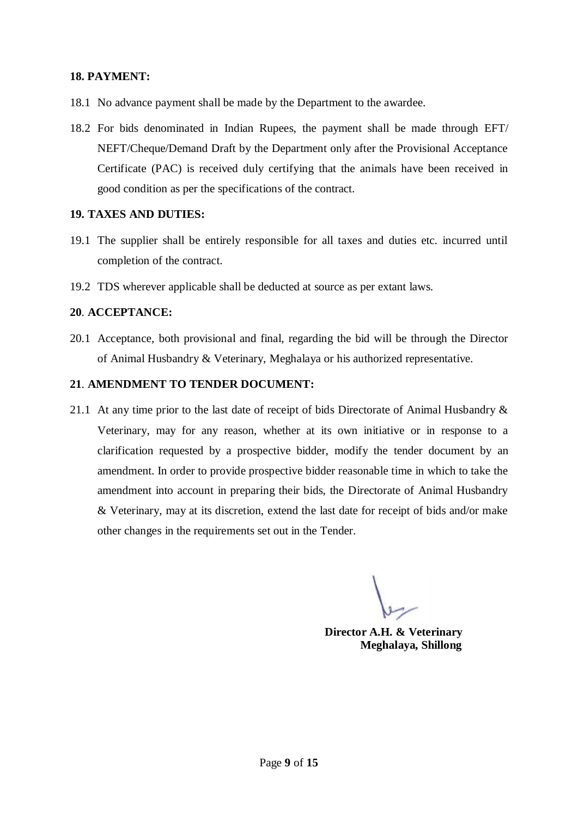#### **18. PAYMENT:**

- 18.1 No advance payment shall be made by the Department to the awardee.
- 18.2 For bids denominated in Indian Rupees, the payment shall be made through EFT/ NEFT/Cheque/Demand Draft by the Department only after the Provisional Acceptance Certificate (PAC) is received duly certifying that the animals have been received in good condition as per the specifications of the contract.

#### **19. TAXES AND DUTIES:**

- 19.1 The supplier shall be entirely responsible for all taxes and duties etc. incurred until completion of the contract.
- 19.2 TDS wherever applicable shall be deducted at source as per extant laws.

#### **20**. **ACCEPTANCE:**

20.1 Acceptance, both provisional and final, regarding the bid will be through the Director of Animal Husbandry & Veterinary, Meghalaya or his authorized representative.

#### **21**. **AMENDMENT TO TENDER DOCUMENT:**

21.1 At any time prior to the last date of receipt of bids Directorate of Animal Husbandry & Veterinary, may for any reason, whether at its own initiative or in response to a clarification requested by a prospective bidder, modify the tender document by an amendment. In order to provide prospective bidder reasonable time in which to take the amendment into account in preparing their bids, the Directorate of Animal Husbandry & Veterinary, may at its discretion, extend the last date for receipt of bids and/or make other changes in the requirements set out in the Tender.

**Director A.H. & Veterinary Meghalaya, Shillong**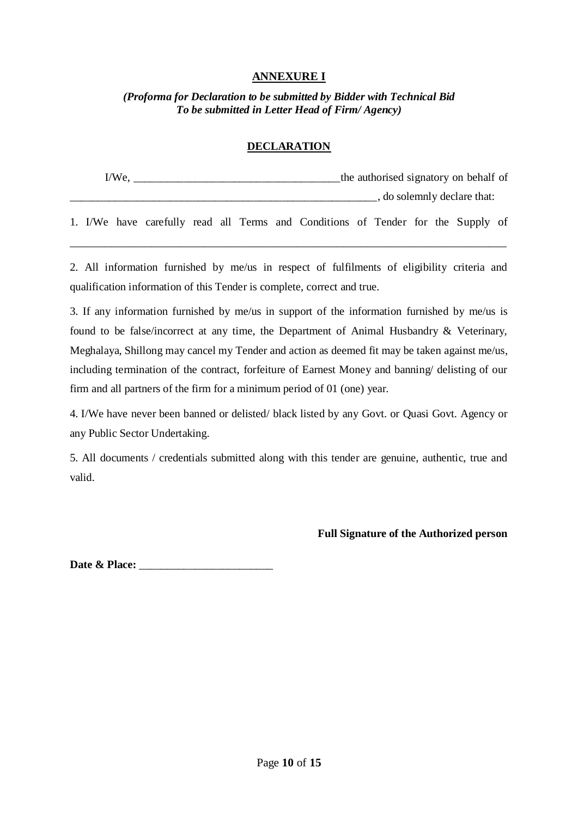## **ANNEXURE I**

*(Proforma for Declaration to be submitted by Bidder with Technical Bid To be submitted in Letter Head of Firm/ Agency)*

#### **DECLARATION**

| I/We. | the authorised signatory on behalf of |
|-------|---------------------------------------|
|       | , do solemnly declare that:           |

1. I/We have carefully read all Terms and Conditions of Tender for the Supply of \_\_\_\_\_\_\_\_\_\_\_\_\_\_\_\_\_\_\_\_\_\_\_\_\_\_\_\_\_\_\_\_\_\_\_\_\_\_\_\_\_\_\_\_\_\_\_\_\_\_\_\_\_\_\_\_\_\_\_\_\_\_\_\_\_\_\_\_\_\_\_\_\_\_\_

2. All information furnished by me/us in respect of fulfilments of eligibility criteria and qualification information of this Tender is complete, correct and true.

3. If any information furnished by me/us in support of the information furnished by me/us is found to be false/incorrect at any time, the Department of Animal Husbandry & Veterinary, Meghalaya, Shillong may cancel my Tender and action as deemed fit may be taken against me/us, including termination of the contract, forfeiture of Earnest Money and banning/ delisting of our firm and all partners of the firm for a minimum period of 01 (one) year.

4. I/We have never been banned or delisted/ black listed by any Govt. or Quasi Govt. Agency or any Public Sector Undertaking.

5. All documents / credentials submitted along with this tender are genuine, authentic, true and valid.

#### **Full Signature of the Authorized person**

Date & Place: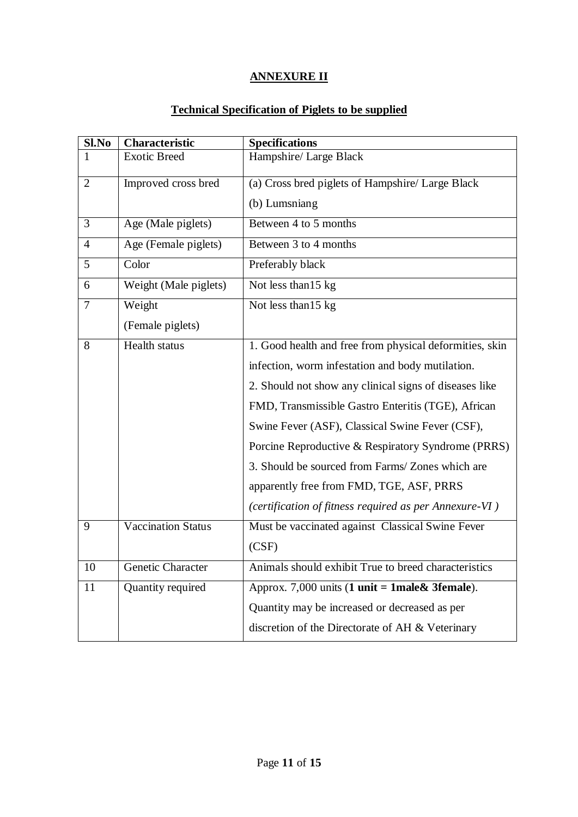## **ANNEXURE II**

## **Technical Specification of Piglets to be supplied**

| Sl.No          | <b>Characteristic</b>     | <b>Specifications</b>                                                       |
|----------------|---------------------------|-----------------------------------------------------------------------------|
| 1              | <b>Exotic Breed</b>       | Hampshire/ Large Black                                                      |
| $\overline{2}$ | Improved cross bred       | (a) Cross bred piglets of Hampshire/ Large Black                            |
|                |                           | (b) Lumsniang                                                               |
| 3              | Age (Male piglets)        | Between 4 to 5 months                                                       |
| $\overline{4}$ | Age (Female piglets)      | Between 3 to 4 months                                                       |
| 5              | Color                     | Preferably black                                                            |
| 6              | Weight (Male piglets)     | Not less than 15 kg                                                         |
| 7              | Weight                    | Not less than 15 kg                                                         |
|                | (Female piglets)          |                                                                             |
| 8              | Health status             | 1. Good health and free from physical deformities, skin                     |
|                |                           | infection, worm infestation and body mutilation.                            |
|                |                           | 2. Should not show any clinical signs of diseases like                      |
|                |                           | FMD, Transmissible Gastro Enteritis (TGE), African                          |
|                |                           | Swine Fever (ASF), Classical Swine Fever (CSF),                             |
|                |                           | Porcine Reproductive & Respiratory Syndrome (PRRS)                          |
|                |                           | 3. Should be sourced from Farms/ Zones which are                            |
|                |                           | apparently free from FMD, TGE, ASF, PRRS                                    |
|                |                           | (certification of fitness required as per Annexure-VI)                      |
| 9              | <b>Vaccination Status</b> | Must be vaccinated against Classical Swine Fever                            |
|                |                           | (CSF)                                                                       |
| 10             | Genetic Character         | Animals should exhibit True to breed characteristics                        |
| 11             | Quantity required         | Approx. 7,000 units $(1 \text{ unit} = 1 \text{ male} \& 3 \text{female}).$ |
|                |                           | Quantity may be increased or decreased as per                               |
|                |                           | discretion of the Directorate of AH & Veterinary                            |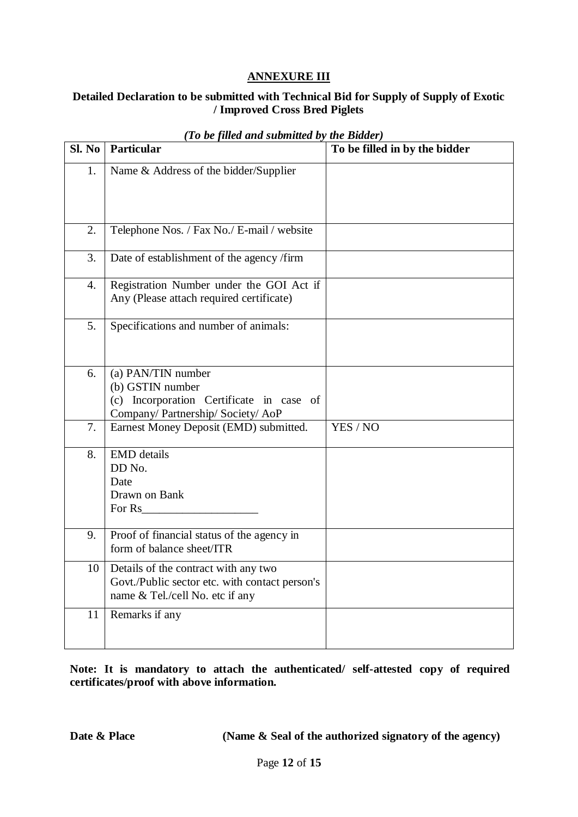## **ANNEXURE III**

## **Detailed Declaration to be submitted with Technical Bid for Supply of Supply of Exotic / Improved Cross Bred Piglets**

|                  | Sl. No   Particular                                                                                                       | To be filled in by the bidder |
|------------------|---------------------------------------------------------------------------------------------------------------------------|-------------------------------|
| 1.               | Name & Address of the bidder/Supplier                                                                                     |                               |
| 2.               | Telephone Nos. / Fax No./ E-mail / website                                                                                |                               |
| 3.               | Date of establishment of the agency /firm                                                                                 |                               |
| $\overline{4}$ . | Registration Number under the GOI Act if<br>Any (Please attach required certificate)                                      |                               |
| 5.               | Specifications and number of animals:                                                                                     |                               |
| 6.               | (a) PAN/TIN number<br>(b) GSTIN number<br>(c) Incorporation Certificate in case of<br>Company/ Partnership/ Society/ AoP  |                               |
| 7.               | Earnest Money Deposit (EMD) submitted.                                                                                    | YES / NO                      |
| 8.               | <b>EMD</b> details<br>DD No.<br>Date<br>Drawn on Bank<br>For Rs                                                           |                               |
| 9.               | Proof of financial status of the agency in<br>form of balance sheet/ITR                                                   |                               |
| 10               | Details of the contract with any two<br>Govt./Public sector etc. with contact person's<br>name & Tel./cell No. etc if any |                               |
| 11               | Remarks if any                                                                                                            |                               |

#### *(To be filled and submitted by the Bidder)*

**Note: It is mandatory to attach the authenticated/ self-attested copy of required certificates/proof with above information.**

**Date & Place (Name & Seal of the authorized signatory of the agency)**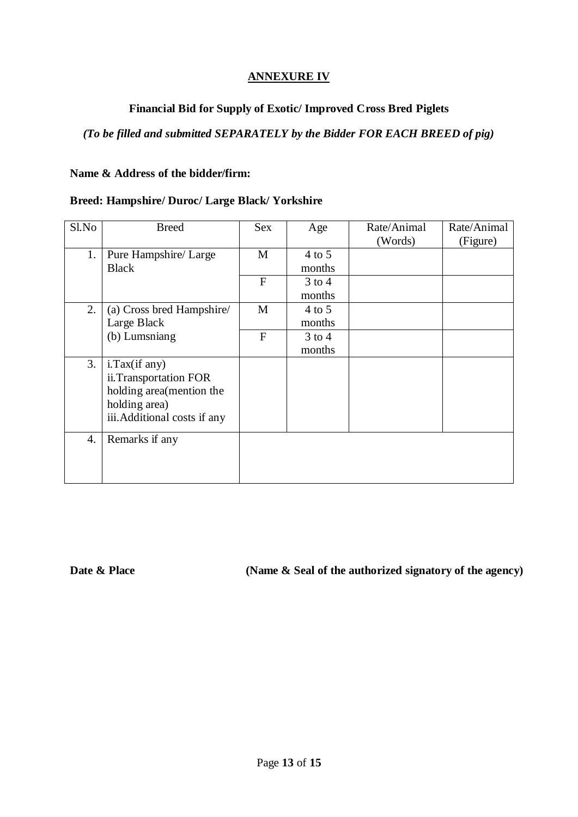## **ANNEXURE IV**

## **Financial Bid for Supply of Exotic/ Improved Cross Bred Piglets**

## *(To be filled and submitted SEPARATELY by the Bidder FOR EACH BREED of pig)*

#### **Name & Address of the bidder/firm:**

## **Breed: Hampshire/ Duroc/ Large Black/ Yorkshire**

| Sl.No | <b>Breed</b>                 | <b>Sex</b>     | Age        | Rate/Animal<br>(Words) | Rate/Animal<br>(Figure) |
|-------|------------------------------|----------------|------------|------------------------|-------------------------|
| 1.    | Pure Hampshire/ Large        | M              | $4$ to 5   |                        |                         |
|       | <b>Black</b>                 |                | months     |                        |                         |
|       |                              | $\overline{F}$ | $3$ to 4   |                        |                         |
|       |                              |                | months     |                        |                         |
| 2.    | (a) Cross bred Hampshire     | M              | $4$ to 5   |                        |                         |
|       | Large Black                  |                | months     |                        |                         |
|       | (b) Lumsniang                | F              | $3$ to $4$ |                        |                         |
|       |                              |                | months     |                        |                         |
| 3.    | $i$ . Tax $(i$ f any $)$     |                |            |                        |                         |
|       | ii.Transportation FOR        |                |            |                        |                         |
|       | holding area (mention the    |                |            |                        |                         |
|       | holding area)                |                |            |                        |                         |
|       | iii. Additional costs if any |                |            |                        |                         |
| 4.    | Remarks if any               |                |            |                        |                         |
|       |                              |                |            |                        |                         |
|       |                              |                |            |                        |                         |
|       |                              |                |            |                        |                         |

**Date & Place** (Name & Seal of the authorized signatory of the agency)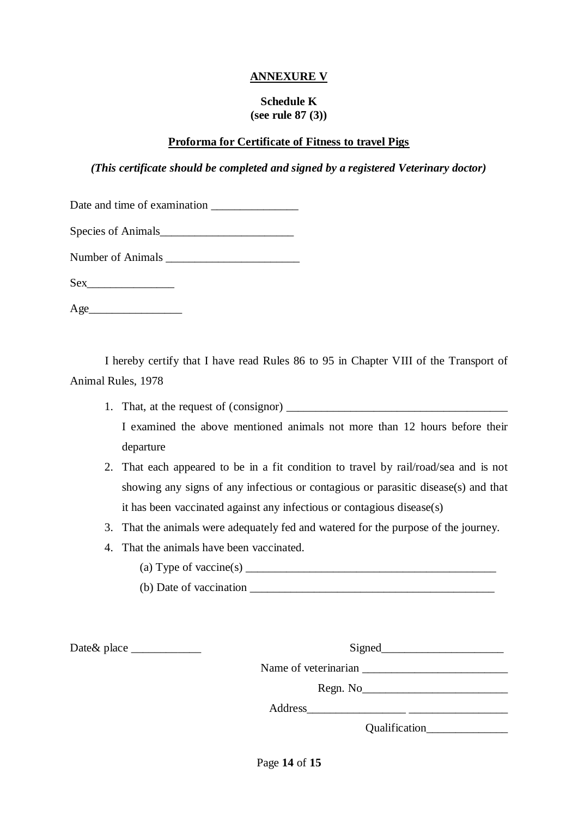## **ANNEXURE V**

#### **Schedule K (see rule 87 (3))**

#### **Proforma for Certificate of Fitness to travel Pigs**

#### *(This certificate should be completed and signed by a registered Veterinary doctor)*

| Date and time of examination |  |
|------------------------------|--|
|------------------------------|--|

| Species of Animals |  |
|--------------------|--|
|--------------------|--|

| <b>Number of Animals</b> |  |
|--------------------------|--|
|--------------------------|--|

Sex<sup>1</sup>

 $Age$ 

I hereby certify that I have read Rules 86 to 95 in Chapter VIII of the Transport of Animal Rules, 1978

- 1. That, at the request of (consignor) I examined the above mentioned animals not more than 12 hours before their departure
- 2. That each appeared to be in a fit condition to travel by rail/road/sea and is not showing any signs of any infectious or contagious or parasitic disease(s) and that it has been vaccinated against any infectious or contagious disease(s)
- 3. That the animals were adequately fed and watered for the purpose of the journey.
- 4. That the animals have been vaccinated.
	- (a) Type of vaccine(s)  $\frac{1}{\sqrt{2}}$
	- (b) Date of vaccination \_\_\_\_\_\_\_\_\_\_\_\_\_\_\_\_\_\_\_\_\_\_\_\_\_\_\_\_\_\_\_\_\_\_\_\_\_\_\_\_\_\_

Date& place \_\_\_\_\_\_\_\_\_\_\_\_ Signed\_\_\_\_\_\_\_\_\_\_\_\_\_\_\_\_\_\_\_\_\_

| <b>Signed</b>        |  |
|----------------------|--|
| Name of veterinarian |  |
| Regn. No             |  |

Address\_\_\_\_\_\_\_\_\_\_\_\_\_\_\_\_\_ \_\_\_\_\_\_\_\_\_\_\_\_\_\_\_\_\_

Qualification\_\_\_\_\_\_\_\_\_\_\_\_\_\_